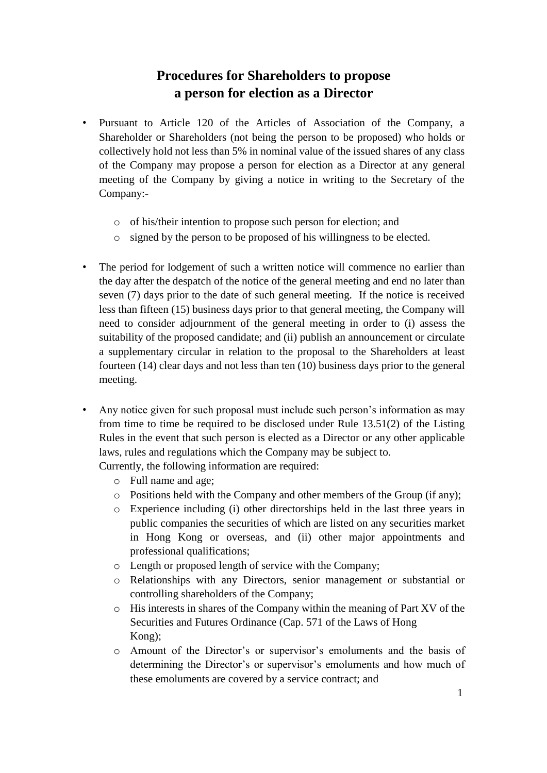## **Procedures for Shareholders to propose a person for election as a Director**

- Pursuant to Article 120 of the Articles of Association of the Company, a Shareholder or Shareholders (not being the person to be proposed) who holds or collectively hold not less than 5% in nominal value of the issued shares of any class of the Company may propose a person for election as a Director at any general meeting of the Company by giving a notice in writing to the Secretary of the Company:
	- o of his/their intention to propose such person for election; and
	- o signed by the person to be proposed of his willingness to be elected.
- The period for lodgement of such a written notice will commence no earlier than the day after the despatch of the notice of the general meeting and end no later than seven (7) days prior to the date of such general meeting. If the notice is received less than fifteen (15) business days prior to that general meeting, the Company will need to consider adjournment of the general meeting in order to (i) assess the suitability of the proposed candidate; and (ii) publish an announcement or circulate a supplementary circular in relation to the proposal to the Shareholders at least fourteen (14) clear days and not less than ten (10) business days prior to the general meeting.
- Any notice given for such proposal must include such person's information as may from time to time be required to be disclosed under Rule 13.51(2) of the Listing Rules in the event that such person is elected as a Director or any other applicable laws, rules and regulations which the Company may be subject to.

Currently, the following information are required:

- o Full name and age;
- o Positions held with the Company and other members of the Group (if any);
- o Experience including (i) other directorships held in the last three years in public companies the securities of which are listed on any securities market in Hong Kong or overseas, and (ii) other major appointments and professional qualifications;
- o Length or proposed length of service with the Company;
- o Relationships with any Directors, senior management or substantial or controlling shareholders of the Company;
- o His interests in shares of the Company within the meaning of Part XV of the Securities and Futures Ordinance (Cap. 571 of the Laws of Hong Kong);
- o Amount of the Director's or supervisor's emoluments and the basis of determining the Director's or supervisor's emoluments and how much of these emoluments are covered by a service contract; and